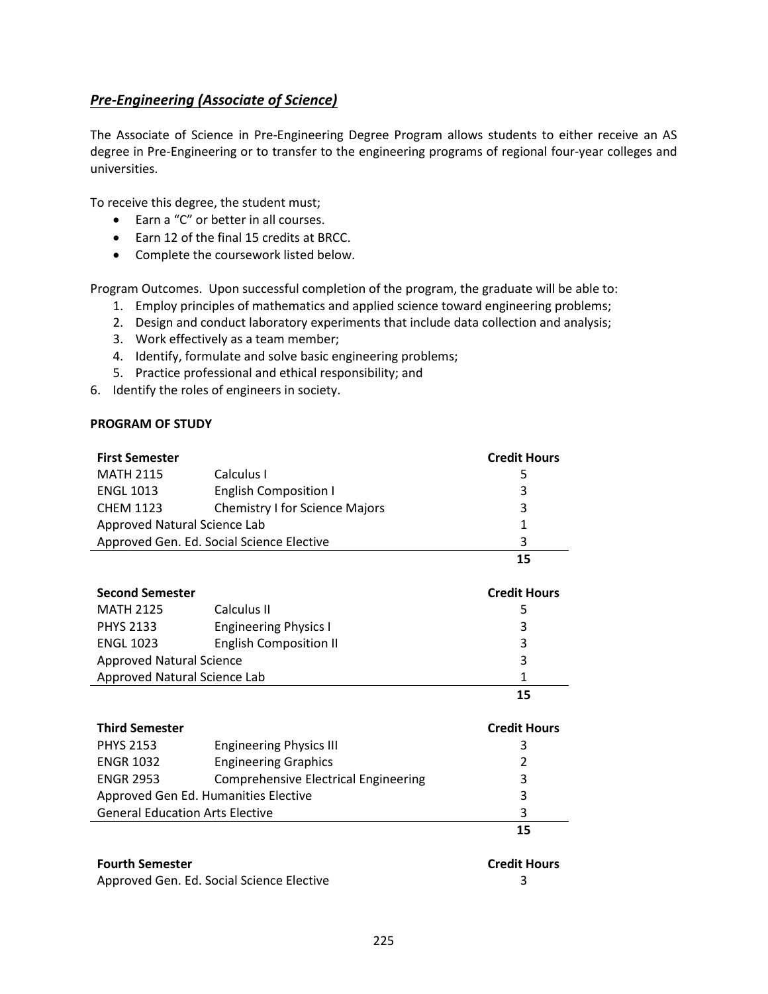## <span id="page-0-0"></span>*[Pre-Engineering \(Associate of Science\)](#page-0-0)*

The Associate of Science in Pre‐Engineering Degree Program allows students to either receive an AS degree in Pre-Engineering or to transfer to the engineering programs of regional four-year colleges and universities.

To receive this degree, the student must;

- Earn a "C" or better in all courses.
- Earn 12 of the final 15 credits at BRCC.
- Complete the coursework listed below.

Program Outcomes. Upon successful completion of the program, the graduate will be able to:

- 1. Employ principles of mathematics and applied science toward engineering problems;
- 2. Design and conduct laboratory experiments that include data collection and analysis;
- 3. Work effectively as a team member;
- 4. Identify, formulate and solve basic engineering problems;
- 5. Practice professional and ethical responsibility; and
- 6. Identify the roles of engineers in society.

## **PROGRAM OF STUDY**

| <b>First Semester</b>                     |                                       | <b>Credit Hours</b> |
|-------------------------------------------|---------------------------------------|---------------------|
| <b>MATH 2115</b>                          | Calculus I                            | 5                   |
| <b>ENGL 1013</b>                          | <b>English Composition I</b>          | 3                   |
| <b>CHEM 1123</b>                          | <b>Chemistry I for Science Majors</b> | 3                   |
| Approved Natural Science Lab              | 1                                     |                     |
| Approved Gen. Ed. Social Science Elective | 3                                     |                     |
|                                           |                                       | 15                  |
| <b>Second Semester</b>                    | <b>Credit Hours</b>                   |                     |
| <b>MATH 2125</b>                          | Calculus II                           | 5                   |
| <b>PHYS 2133</b>                          | <b>Engineering Physics I</b>          | 3                   |
| <b>ENGL 1023</b>                          | <b>English Composition II</b>         | 3                   |
| <b>Approved Natural Science</b>           | 3                                     |                     |
| Approved Natural Science Lab              | 1                                     |                     |
|                                           |                                       | 15                  |
| <b>Third Semester</b>                     |                                       | <b>Credit Hours</b> |
| <b>PHYS 2153</b>                          | <b>Engineering Physics III</b>        | 3                   |
| <b>ENGR 1032</b>                          | <b>Engineering Graphics</b>           | 2                   |

|           | <b>General Education Arts Elective</b> | 3 |
|-----------|----------------------------------------|---|
|           | Approved Gen Ed. Humanities Elective   |   |
| ENGR 2953 | Comprehensive Electrical Engineering   |   |
|           |                                        |   |

## **Fourth Semester Credit Hours**

| <b>Credit I</b> |  |  |
|-----------------|--|--|
|                 |  |  |

**15**

Approved Gen. Ed. Social Science Elective 3